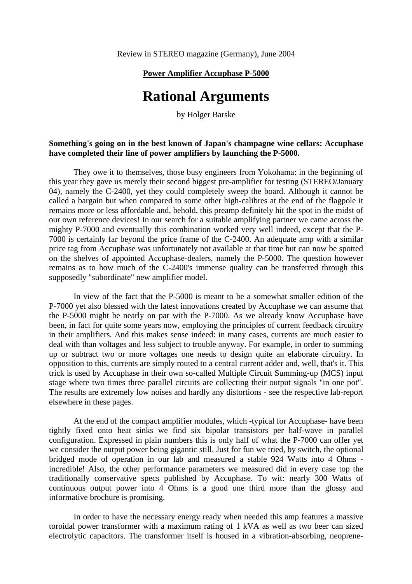Review in STEREO magazine (Germany), June 2004

## **Power Amplifier Accuphase P-5000**

## **Rational Arguments**

by Holger Barske

## **Something's going on in the best known of Japan's champagne wine cellars: Accuphase have completed their line of power amplifiers by launching the P-5000.**

 They owe it to themselves, those busy engineers from Yokohama: in the beginning of this year they gave us merely their second biggest pre-amplifier for testing (STEREO/January 04), namely the C-2400, yet they could completely sweep the board. Although it cannot be called a bargain but when compared to some other high-calibres at the end of the flagpole it remains more or less affordable and, behold, this preamp definitely hit the spot in the midst of our own reference devices! In our search for a suitable amplifying partner we came across the mighty P-7000 and eventually this combination worked very well indeed, except that the P-7000 is certainly far beyond the price frame of the C-2400. An adequate amp with a similar price tag from Accuphase was unfortunately not available at that time but can now be spotted on the shelves of appointed Accuphase-dealers, namely the P-5000. The question however remains as to how much of the C-2400's immense quality can be transferred through this supposedly "subordinate" new amplifier model.

 In view of the fact that the P-5000 is meant to be a somewhat smaller edition of the P-7000 yet also blessed with the latest innovations created by Accuphase we can assume that the P-5000 might be nearly on par with the P-7000. As we already know Accuphase have been, in fact for quite some years now, employing the principles of current feedback circuitry in their amplifiers. And this makes sense indeed: in many cases, currents are much easier to deal with than voltages and less subject to trouble anyway. For example, in order to summing up or subtract two or more voltages one needs to design quite an elaborate circuitry. In opposition to this, currents are simply routed to a central current adder and, well, that's it. This trick is used by Accuphase in their own so-called Multiple Circuit Summing-up (MCS) input stage where two times three parallel circuits are collecting their output signals "in one pot". The results are extremely low noises and hardly any distortions - see the respective lab-report elsewhere in these pages.

 At the end of the compact amplifier modules, which -typical for Accuphase- have been tightly fixed onto heat sinks we find six bipolar transistors per half-wave in parallel configuration. Expressed in plain numbers this is only half of what the P-7000 can offer yet we consider the output power being gigantic still. Just for fun we tried, by switch, the optional bridged mode of operation in our lab and measured a stable 924 Watts into 4 Ohms incredible! Also, the other performance parameters we measured did in every case top the traditionally conservative specs published by Accuphase. To wit: nearly 300 Watts of continuous output power into 4 Ohms is a good one third more than the glossy and informative brochure is promising.

 In order to have the necessary energy ready when needed this amp features a massive toroidal power transformer with a maximum rating of 1 kVA as well as two beer can sized electrolytic capacitors. The transformer itself is housed in a vibration-absorbing, neoprene-